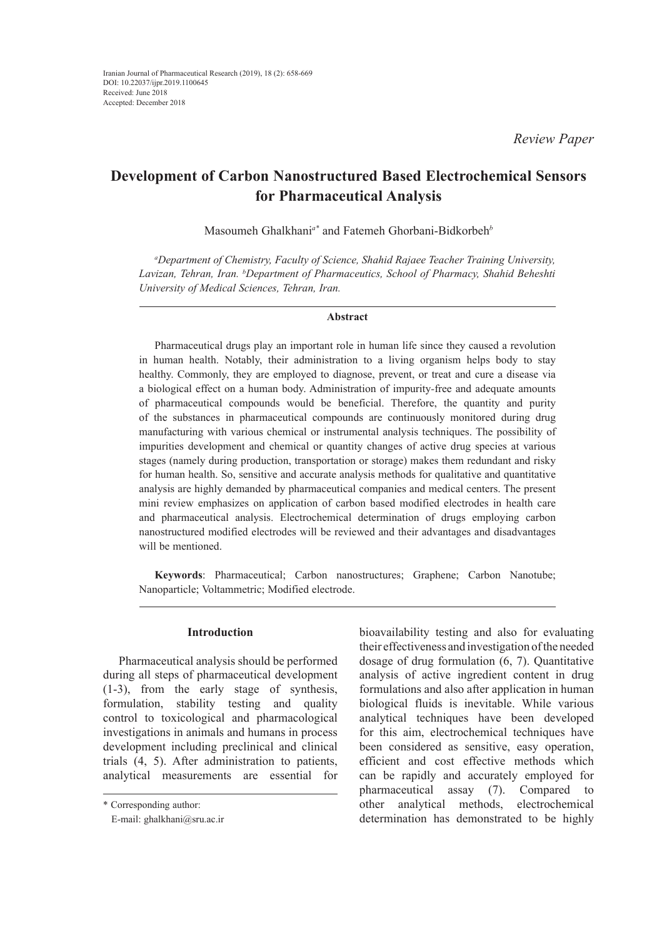*Review Paper*

# **Development of Carbon Nanostructured Based Electrochemical Sensors for Pharmaceutical Analysis**

Masoumeh Ghalkhani*a\** and Fatemeh Ghorbani-Bidkorbeh*<sup>b</sup>*

*a Department of Chemistry, Faculty of Science, Shahid Rajaee Teacher Training University, Lavizan, Tehran, Iran. b Department of Pharmaceutics, School of Pharmacy, Shahid Beheshti University of Medical Sciences, Tehran, Iran.*

#### **Abstract**

Pharmaceutical drugs play an important role in human life since they caused a revolution in human health. Notably, their administration to a living organism helps body to stay healthy. Commonly, they are employed to diagnose, prevent, or treat and cure a disease via a biological effect on a human body. Administration of impurity*-*free and adequate amounts of pharmaceutical compounds would be beneficial. Therefore, the quantity and purity of the substances in pharmaceutical compounds are continuously monitored during drug manufacturing with various chemical or instrumental analysis techniques. The possibility of impurities development and chemical or quantity changes of active drug species at various stages (namely during production, transportation or storage) makes them redundant and risky for human health. So, sensitive and accurate analysis methods for qualitative and quantitative analysis are highly demanded by pharmaceutical companies and medical centers. The present mini review emphasizes on application of carbon based modified electrodes in health care and pharmaceutical analysis. Electrochemical determination of drugs employing carbon nanostructured modified electrodes will be reviewed and their advantages and disadvantages will be mentioned.

**Keywords**: Pharmaceutical; Carbon nanostructures; Graphene; Carbon Nanotube; Nanoparticle; Voltammetric; Modified electrode.

## **Introduction**

Pharmaceutical analysis should be performed during all steps of pharmaceutical development (1-3), from the early stage of synthesis, formulation, stability testing and quality control to toxicological and pharmacological investigations in animals and humans in process development including preclinical and clinical trials (4, 5). After administration to patients, analytical measurements are essential for

bioavailability testing and also for evaluating their effectiveness and investigation of the needed dosage of drug formulation (6, 7). Quantitative analysis of active ingredient content in drug formulations and also after application in human biological fluids is inevitable. While various analytical techniques have been developed for this aim, electrochemical techniques have been considered as sensitive, easy operation, efficient and cost effective methods which can be rapidly and accurately employed for pharmaceutical assay (7). Compared to other analytical methods, electrochemical determination has demonstrated to be highly

<sup>\*</sup> Corresponding author:

E-mail: ghalkhani@sru.ac.ir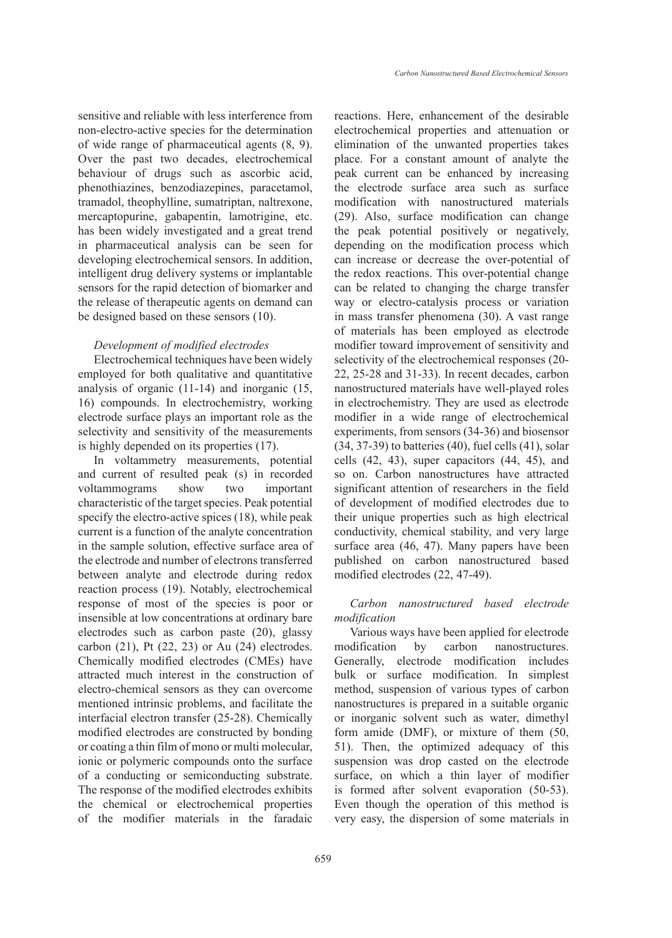sensitive and reliable with less interference from non-electro-active species for the determination of wide range of pharmaceutical agents (8, 9). Over the past two decades, electrochemical behaviour of drugs such as ascorbic acid, phenothiazines, benzodiazepines, paracetamol, tramadol, theophylline, sumatriptan, naltrexone, mercaptopurine, gabapentin, lamotrigine, etc. has been widely investigated and a great trend in pharmaceutical analysis can be seen for developing electrochemical sensors. In addition, intelligent drug delivery systems or implantable sensors for the rapid detection of biomarker and the release of therapeutic agents on demand can be designed based on these sensors (10).

## *Development of modified electrodes*

Electrochemical techniques have been widely employed for both qualitative and quantitative analysis of organic (11-14) and inorganic (15, 16) compounds. In electrochemistry, working electrode surface plays an important role as the selectivity and sensitivity of the measurements is highly depended on its properties (17).

In voltammetry measurements, potential and current of resulted peak (s) in recorded voltammograms show two important characteristic of the target species. Peak potential specify the electro-active spices (18), while peak current is a function of the analyte concentration in the sample solution, effective surface area of the electrode and number of electrons transferred between analyte and electrode during redox reaction process (19). Notably, electrochemical response of most of the species is poor or insensible at low concentrations at ordinary bare electrodes such as carbon paste (20), glassy carbon (21), Pt (22, 23) or Au (24) electrodes. Chemically modified electrodes (CMEs) have attracted much interest in the construction of electro-chemical sensors as they can overcome mentioned intrinsic problems, and facilitate the interfacial electron transfer (25-28). Chemically modified electrodes are constructed by bonding or coating a thin film of mono or multi molecular, ionic or polymeric compounds onto the surface of a conducting or semiconducting substrate. The response of the modified electrodes exhibits the chemical or electrochemical properties of the modifier materials in the faradaic reactions. Here, enhancement of the desirable electrochemical properties and attenuation or elimination of the unwanted properties takes place. For a constant amount of analyte the peak current can be enhanced by increasing the electrode surface area such as surface modification with nanostructured materials (29). Also, surface modification can change the peak potential positively or negatively, depending on the modification process which can increase or decrease the over-potential of the redox reactions. This over-potential change can be related to changing the charge transfer way or electro-catalysis process or variation in mass transfer phenomena (30). A vast range of materials has been employed as electrode modifier toward improvement of sensitivity and selectivity of the electrochemical responses (20- 22, 25-28 and 31-33). In recent decades, carbon nanostructured materials have well-played roles in electrochemistry. They are used as electrode modifier in a wide range of electrochemical experiments, from sensors (34-36) and biosensor (34, 37-39) to batteries (40), fuel cells (41), solar cells (42, 43), super capacitors (44, 45), and so on. Carbon nanostructures have attracted significant attention of researchers in the field of development of modified electrodes due to their unique properties such as high electrical conductivity, chemical stability, and very large surface area (46, 47). Many papers have been published on carbon nanostructured based modified electrodes (22, 47-49).

# *Carbon nanostructured based electrode modification*

Various ways have been applied for electrode modification by carbon nanostructures. Generally, electrode modification includes bulk or surface modification. In simplest method, suspension of various types of carbon nanostructures is prepared in a suitable organic or inorganic solvent such as water, dimethyl form amide (DMF), or mixture of them (50, 51). Then, the optimized adequacy of this suspension was drop casted on the electrode surface, on which a thin layer of modifier is formed after solvent evaporation (50-53). Even though the operation of this method is very easy, the dispersion of some materials in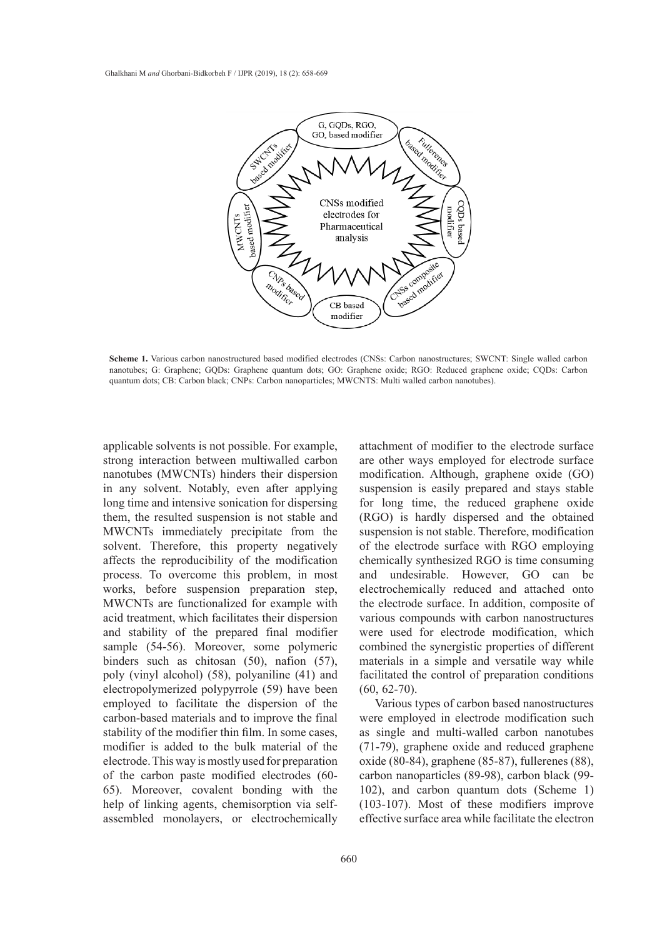

**Scheme 1.** Various carbon nanostructured based modified electrodes (CNSs: Carbon nanostructures; SWCNT: Single walled carbon nanotubes; G: Graphene; GQDs: Graphene quantum dots; GO: Graphene oxide; RGO: Reduced graphene oxide; CQI<br>quantum dots; CB: Carbon black; CNPs: Carbon nanoparticles; MWCNTS: Multi walled carbon nanotubes).  $\frac{1}{2}$ , Carbon black; Carbon black; C $\frac{1}{2}$ nanotubes; G: Graphene; GQDs: Graphene quantum dots; GO: Graphene oxide; RGO: Reduced graphene oxide; CQDs: Carbon

applicable solvents is not possible. For example, strong interaction between multiwalled carbon nanotubes (MWCNTs) hinders their dispersion modification. Although, graphene in any solvent. Notably, even after applying long time and intensive sonication for dispersing them, the resulted suspension is not stable and MWCNTs immediately precipitate from the solvent. Therefore, this property negatively affects the reproducibility of the modification process. To overcome this problem, in most works, before suspension preparation step, MWCNTs are functionalized for example with acid treatment, which facilitates their dispersion and stability of the prepared final modifier sample (54-56). Moreover, some polymeric binders such as chitosan (50), nafion (57), poly (vinyl alcohol) (58), polyaniline (41) and electropolymerized polypyrrole (59) have been employed to facilitate the dispersion of the carbon-based materials and to improve the final stability of the modifier thin film. In some cases, modifier is added to the bulk material of the electrode. This way is mostly used for preparation of the carbon paste modified electrodes (60- 65). Moreover, covalent bonding with the help of linking agents, chemisorption via selfassembled monolayers, or electrochemically

attachment of modifier to the electrode surface sorvents is not possible. For example, and all the modified to the electrode surface eraction between multiwalled carbon are other ways employed for electrode surface modification. Although, graphene oxide (GO) suspension is easily prepared and stays stable for long time, the reduced graphene oxide (RGO) is hardly dispersed and the obtained suspension is not stable. Therefore, modification of the electrode surface with RGO employing chemically synthesized RGO is time consuming and undesirable. However, GO can be electrochemically reduced and attached onto the electrode surface. In addition, composite of various compounds with carbon nanostructures were used for electrode modification, which combined the synergistic properties of different materials in a simple and versatile way while facilitated the control of preparation conditions (60, 62-70).

Various types of carbon based nanostructures were employed in electrode modification such as single and multi-walled carbon nanotubes (71-79), graphene oxide and reduced graphene oxide (80-84), graphene (85-87), fullerenes (88), carbon nanoparticles (89-98), carbon black (99- 102), and carbon quantum dots (Scheme 1) (103-107). Most of these modifiers improve effective surface area while facilitate the electron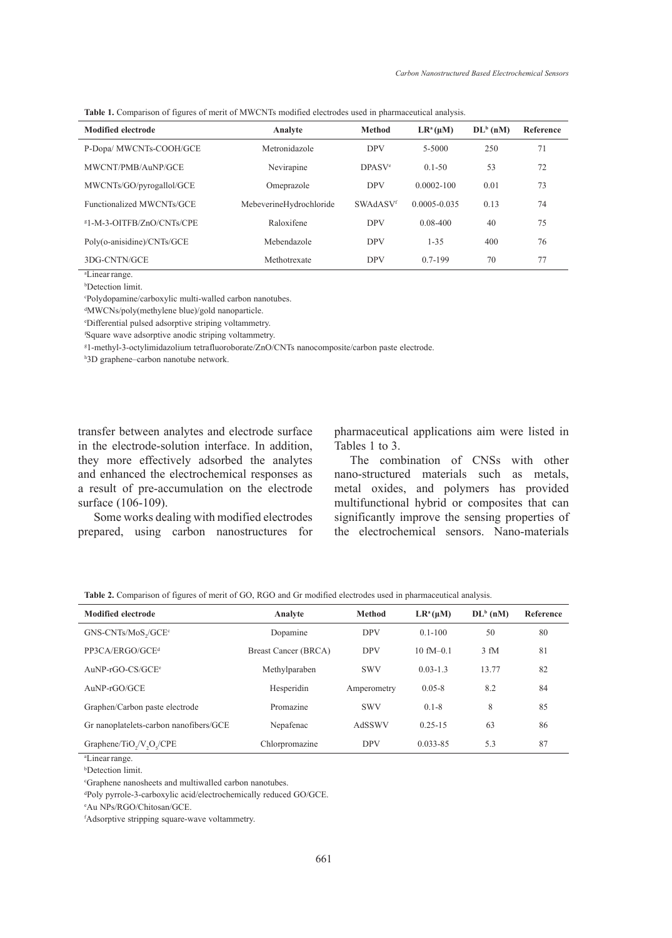**Table 1.** Comparison of figures of merit of MWCNTs modified electrodes used in pharmaceutical analysis.

| <b>Modified electrode</b>  | Analyte                 | <b>Method</b>      | $LR^a(\mu M)$    | $DLb$ (nM) | Reference |
|----------------------------|-------------------------|--------------------|------------------|------------|-----------|
| P-Dopa/ MWCNTs-COOH/GCE    | Metronidazole           | <b>DPV</b>         | 5-5000           | 250        | 71        |
| MWCNT/PMB/AuNP/GCE         | Nevirapine              | DPASV <sup>e</sup> | $0.1 - 50$       | 53         | 72        |
| MWCNTs/GO/pyrogallol/GCE   | Omeprazole              | <b>DPV</b>         | $0.0002 - 100$   | 0.01       | 73        |
| Functionalized MWCNTs/GCE  | MebeverineHydrochloride | SWAdASVf           | $0.0005 - 0.035$ | 0.13       | 74        |
| \$1-M-3-OITFB/ZnO/CNTs/CPE | Raloxifene              | <b>DPV</b>         | $0.08 - 400$     | 40         | 75        |
| Poly(o-anisidine)/CNTs/GCE | Mebendazole             | <b>DPV</b>         | $1 - 35$         | 400        | 76        |
| 3DG-CNTN/GCE               | Methotrexate            | <b>DPV</b>         | $0.7 - 199$      | 70         | 77        |

a Linearrange.

b Detection limit.

c Polydopamine/carboxylic multi-walled carbon nanotubes.

d MWCNs/poly(methylene blue)/gold nanoparticle.

e Differential pulsed adsorptive striping voltammetry.

f Square wave adsorptive anodic striping voltammetry.

g 1-methyl-3-octylimidazolium tetrafluoroborate/ZnO/CNTs nanocomposite/carbon paste electrode.

h 3D graphene–carbon nanotube network.

transfer between analytes and electrode surface in the electrode-solution interface. In addition, they more effectively adsorbed the analytes and enhanced the electrochemical responses as a result of pre-accumulation on the electrode surface (106-109).

Some works dealing with modified electrodes prepared, using carbon nanostructures for pharmaceutical applications aim were listed in Tables 1 to 3.

The combination of CNSs with other nano-structured materials such as metals, metal oxides, and polymers has provided multifunctional hybrid or composites that can significantly improve the sensing properties of the electrochemical sensors. Nano-materials

**Table 2.** Comparison of figures of merit of GO, RGO and Gr modified electrodes used in pharmaceutical analysis.

| <b>Modified electrode</b>                                     | Analyte              | <b>Method</b> | $LR^a(\mu M)$ | $DLb$ (nM)       | Reference |
|---------------------------------------------------------------|----------------------|---------------|---------------|------------------|-----------|
| GNS-CNTs/MoS <sub>2</sub> /GCE <sup>c</sup>                   | Dopamine             | <b>DPV</b>    | $0.1 - 100$   | 50               | 80        |
| PP3CA/ERGO/GCE <sup>d</sup>                                   | Breast Cancer (BRCA) | <b>DPV</b>    | $10 fM - 0.1$ | 3 <sub>f</sub> M | 81        |
| $AuNP-rGO-CS/GCEe$                                            | Methylparaben        | <b>SWV</b>    | $0.03 - 1.3$  | 13.77            | 82        |
| AuNP-rGO/GCE                                                  | Hesperidin           | Amperometry   | $0.05 - 8$    | 8.2              | 84        |
| Graphen/Carbon paste electrode                                | Promazine            | <b>SWV</b>    | $0.1 - 8$     | 8                | 85        |
| Gr nanoplatelets-carbon nanofibers/GCE                        | Nepafenac            | AdSSWV        | $0.25 - 15$   | 63               | 86        |
| Graphene/TiO <sub>2</sub> /V <sub>2</sub> O <sub>2</sub> /CPE | Chlorpromazine       | <b>DPV</b>    | $0.033 - 85$  | 5.3              | 87        |

a Linearrange.

b Detection limit.

c Graphene nanosheets and multiwalled carbon nanotubes.

d Poly pyrrole-3-carboxylic acid/electrochemically reduced GO/GCE.

e Au NPs/RGO/Chitosan/GCE.

f Adsorptive stripping square-wave voltammetry.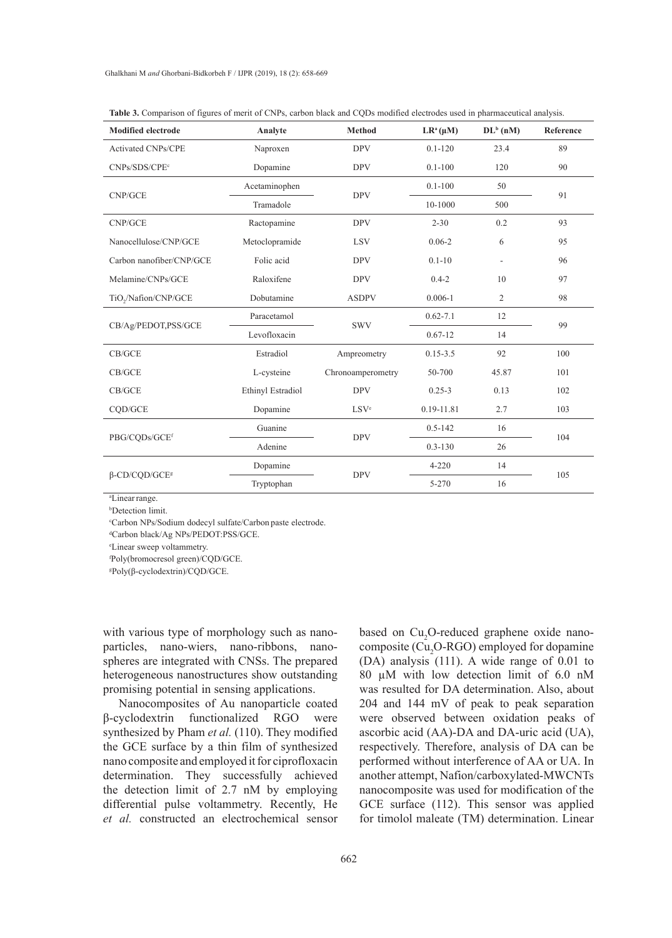| <b>Modified electrode</b>        | Analyte           | Method            | $LR^a(\mu M)$ | $DL^{b}$ (nM)            | Reference |  |
|----------------------------------|-------------------|-------------------|---------------|--------------------------|-----------|--|
| <b>Activated CNPs/CPE</b>        | Naproxen          | <b>DPV</b>        | $0.1 - 120$   | 23.4                     | 89        |  |
| CNPs/SDS/CPE <sup>c</sup>        | Dopamine          | <b>DPV</b>        | $0.1 - 100$   | 120                      | 90        |  |
| CNP/GCE                          | Acetaminophen     | <b>DPV</b>        | $0.1 - 100$   | 50                       | 91        |  |
|                                  | Tramadole         |                   | 10-1000       | 500                      |           |  |
| CNP/GCE                          | Ractopamine       | <b>DPV</b>        | $2 - 30$      | 0.2                      | 93        |  |
| Nanocellulose/CNP/GCE            | Metoclopramide    | <b>LSV</b>        | $0.06 - 2$    | 6                        | 95        |  |
| Carbon nanofiber/CNP/GCE         | Folic acid        | <b>DPV</b>        | $0.1 - 10$    | $\overline{\phantom{a}}$ | 96        |  |
| Melamine/CNPs/GCE                | Raloxifene        | <b>DPV</b>        | $0.4 - 2$     | 10                       | 97        |  |
| TiO <sub>y</sub> /Nafion/CNP/GCE | Dobutamine        | <b>ASDPV</b>      | $0.006 - 1$   | $\overline{c}$           | 98        |  |
| CB/Ag/PEDOT,PSS/GCE              | Paracetamol       |                   | $0.62 - 7.1$  | 12                       | 99        |  |
|                                  | Levofloxacin      | <b>SWV</b>        | $0.67 - 12$   | 14                       |           |  |
| CB/GCE                           | Estradiol         | Ampreometry       | $0.15 - 3.5$  | 92                       | 100       |  |
| CB/GCE                           | L-cysteine        | Chronoamperometry | 50-700        | 45.87                    | 101       |  |
| CB/GCE                           | Ethinyl Estradiol | <b>DPV</b>        | $0.25 - 3$    | 0.13                     | 102       |  |
| CQD/GCE                          | Dopamine          | LSV <sup>e</sup>  | 0.19-11.81    | 2.7                      | 103       |  |
| PBG/CQDs/GCEf                    | Guanine           |                   | $0.5 - 142$   | 16                       | 104       |  |
|                                  | Adenine           | <b>DPV</b>        | $0.3 - 130$   | 26                       |           |  |
|                                  | Dopamine          |                   | $4 - 220$     | 14                       |           |  |
| $\beta$ -CD/CQD/GCE <sup>g</sup> | Tryptophan        | <b>DPV</b>        | 5-270         | 16                       | 105       |  |

| <b>Table 3.</b> Comparison of figures of merit of CNPs, carbon black and CODs modified electrodes used in pharmaceutical analysis. |  |  |  |
|------------------------------------------------------------------------------------------------------------------------------------|--|--|--|
|------------------------------------------------------------------------------------------------------------------------------------|--|--|--|

a Linearrange.

b Detection limit.

c Carbon NPs/Sodium dodecyl sulfate/Carbon paste electrode.

d Carbon black/Ag NPs/PEDOT:PSS/GCE.

e Linear sweep voltammetry.

f Poly(bromocresol green)/CQD/GCE.

g Poly(β-cyclodextrin)/CQD/GCE.

with various type of morphology such as nanoparticles, nano-wiers, nano-ribbons, nanospheres are integrated with CNSs. The prepared heterogeneous nanostructures show outstanding promising potential in sensing applications.

Nanocomposites of Au nanoparticle coated β-cyclodextrin functionalized RGO were synthesized by Pham *et al.* (110). They modified the GCE surface by a thin film of synthesized nano composite and employed it for ciprofloxacin determination. They successfully achieved the detection limit of 2.7 nM by employing differential pulse voltammetry. Recently, He *et al.* constructed an electrochemical sensor

based on Cu<sub>2</sub>O-reduced graphene oxide nanocomposite (Cu<sub>2</sub>O-RGO) employed for dopamine (DA) analysis (111). A wide range of 0.01 to 80 µM with low detection limit of 6.0 nM was resulted for DA determination. Also, about 204 and 144 mV of peak to peak separation were observed between oxidation peaks of ascorbic acid (AA)-DA and DA-uric acid (UA), respectively. Therefore, analysis of DA can be performed without interference of AA or UA. In another attempt, Nafion/carboxylated-MWCNTs nanocomposite was used for modification of the GCE surface (112). This sensor was applied for timolol maleate (TM) determination. Linear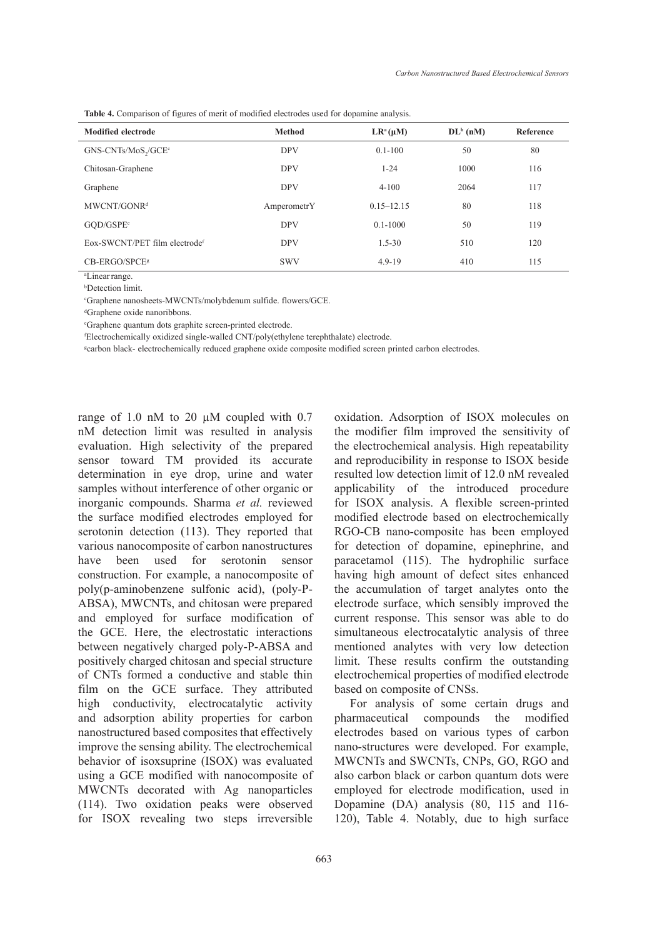**Table 4.** Comparison of figures of merit of modified electrodes used for dopamine analysis.

| <b>Modified electrode</b>                   | <b>Method</b> | $LR^a(\mu M)$  | $DL^b$ (nM) | Reference |
|---------------------------------------------|---------------|----------------|-------------|-----------|
| GNS-CNTs/MoS <sub>2</sub> /GCE <sup>c</sup> | <b>DPV</b>    | $0.1 - 100$    | 50          | 80        |
| Chitosan-Graphene                           | <b>DPV</b>    | $1 - 24$       | 1000        | 116       |
| Graphene                                    | <b>DPV</b>    | $4 - 100$      | 2064        | 117       |
| MWCNT/GONR <sup>d</sup>                     | AmperometrY   | $0.15 - 12.15$ | 80          | 118       |
| GOD/GSPE <sup>e</sup>                       | <b>DPV</b>    | $0.1 - 1000$   | 50          | 119       |
| Eox-SWCNT/PET film electrodef               | <b>DPV</b>    | $1.5 - 30$     | 510         | 120       |
| CB-ERGO/SPCE <sup>s</sup>                   | <b>SWV</b>    | $4.9 - 19$     | 410         | 115       |

a Linearrange.

b Detection limit.

c Graphene nanosheets-MWCNTs/molybdenum sulfide. flowers/GCE.

d Graphene oxide nanoribbons.

e Graphene quantum dots graphite screen-printed electrode.

f Electrochemically oxidized single-walled CNT/poly(ethylene terephthalate) electrode.

g carbon black- electrochemically reduced graphene oxide composite modified screen printed carbon electrodes.

range of 1.0 nM to 20 µM coupled with 0.7 nM detection limit was resulted in analysis evaluation. High selectivity of the prepared sensor toward TM provided its accurate determination in eye drop, urine and water samples without interference of other organic or inorganic compounds. Sharma *et al.* reviewed the surface modified electrodes employed for serotonin detection (113). They reported that various nanocomposite of carbon nanostructures have been used for serotonin sensor construction. For example, a nanocomposite of poly(p-aminobenzene sulfonic acid), (poly-P-ABSA), MWCNTs, and chitosan were prepared and employed for surface modification of the GCE. Here, the electrostatic interactions between negatively charged poly-P-ABSA and positively charged chitosan and special structure of CNTs formed a conductive and stable thin film on the GCE surface. They attributed high conductivity, electrocatalytic activity and adsorption ability properties for carbon nanostructured based composites that effectively improve the sensing ability. The electrochemical behavior of isoxsuprine (ISOX) was evaluated using a GCE modified with nanocomposite of MWCNTs decorated with Ag nanoparticles (114). Two oxidation peaks were observed for ISOX revealing two steps irreversible

the modifier film improved the sensitivity of the electrochemical analysis. High repeatability and reproducibility in response to ISOX beside resulted low detection limit of 12.0 nM revealed applicability of the introduced procedure for ISOX analysis. A flexible screen-printed modified electrode based on electrochemically RGO-CB nano-composite has been employed for detection of dopamine, epinephrine, and paracetamol (115). The hydrophilic surface having high amount of defect sites enhanced the accumulation of target analytes onto the electrode surface, which sensibly improved the current response. This sensor was able to do simultaneous electrocatalytic analysis of three mentioned analytes with very low detection limit. These results confirm the outstanding electrochemical properties of modified electrode based on composite of CNSs. For analysis of some certain drugs and

oxidation. Adsorption of ISOX molecules on

pharmaceutical compounds the modified electrodes based on various types of carbon nano-structures were developed. For example, MWCNTs and SWCNTs, CNPs, GO, RGO and also carbon black or carbon quantum dots were employed for electrode modification, used in Dopamine (DA) analysis (80, 115 and 116- 120), Table 4. Notably, due to high surface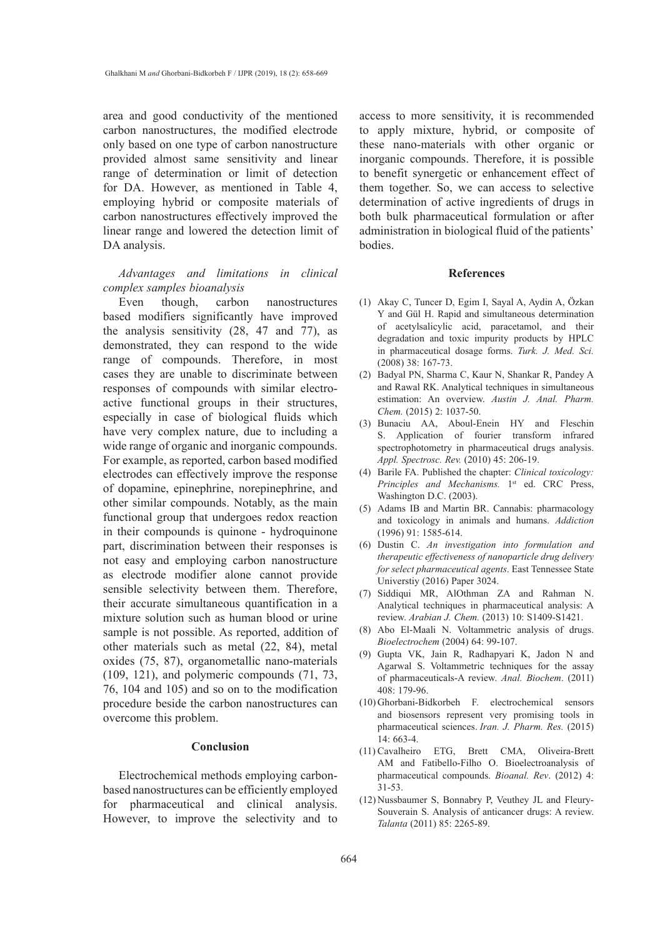area and good conductivity of the mentioned carbon nanostructures, the modified electrode only based on one type of carbon nanostructure provided almost same sensitivity and linear range of determination or limit of detection for DA. However, as mentioned in Table 4, employing hybrid or composite materials of carbon nanostructures effectively improved the linear range and lowered the detection limit of DA analysis.

## *Advantages and limitations in clinical complex samples bioanalysis*

Even though, carbon nanostructures based modifiers significantly have improved the analysis sensitivity (28, 47 and 77), as demonstrated, they can respond to the wide range of compounds. Therefore, in most cases they are unable to discriminate between responses of compounds with similar electroactive functional groups in their structures, especially in case of biological fluids which have very complex nature, due to including a wide range of organic and inorganic compounds. For example, as reported, carbon based modified electrodes can effectively improve the response of dopamine, epinephrine, norepinephrine, and other similar compounds. Notably, as the main functional group that undergoes redox reaction in their compounds is quinone - hydroquinone part, discrimination between their responses is not easy and employing carbon nanostructure as electrode modifier alone cannot provide sensible selectivity between them. Therefore, their accurate simultaneous quantification in a mixture solution such as human blood or urine sample is not possible. As reported, addition of other materials such as metal (22, 84), metal oxides (75, 87), organometallic nano-materials (109, 121), and polymeric compounds (71, 73, 76, 104 and 105) and so on to the modification procedure beside the carbon nanostructures can overcome this problem.

## **Conclusion**

Electrochemical methods employing carbonbased nanostructures can be efficiently employed for pharmaceutical and clinical analysis. However, to improve the selectivity and to

access to more sensitivity, it is recommended to apply mixture, hybrid, or composite of these nano-materials with other organic or inorganic compounds. Therefore, it is possible to benefit synergetic or enhancement effect of them together. So, we can access to selective determination of active ingredients of drugs in both bulk pharmaceutical formulation or after administration in biological fluid of the patients' bodies.

## **References**

- Akay C, Tuncer D, Egim I, Sayal A, Aydin A, Özkan (1) Y and Gül H. Rapid and simultaneous determination of acetylsalicylic acid, paracetamol, and their degradation and toxic impurity products by HPLC in pharmaceutical dosage forms. *Turk. J. Med. Sci.* (2008) 38: 167-73.
- Badyal PN, Sharma C, Kaur N, Shankar R, Pandey A (2) and Rawal RK. Analytical techniques in simultaneous estimation: An overview. *Austin J. Anal. Pharm. Chem.* (2015) 2: 1037-50.
- (3) Bunaciu AA, Aboul-Enein HY and Fleschin S. Application of fourier transform infrared spectrophotometry in pharmaceutical drugs analysis. *Appl. Spectrosc. Rev.* (2010) 45: 206-19.
- Barile FA. Published the chapter: *Clinical toxicology:*  (4) Principles and Mechanisms. 1<sup>st</sup> ed. CRC Press, Washington D.C. (2003).
- (5) Adams IB and Martin BR. Cannabis: pharmacology and toxicology in animals and humans. *Addiction* (1996) 91: 1585-614.
- Dustin C. *An investigation into formulation and*  (6) *therapeutic effectiveness of nanoparticle drug delivery for select pharmaceutical agents*. East Tennessee State Universtiy (2016) Paper 3024.
- (7) Siddiqui MR, AlOthman ZA and Rahman N. Analytical techniques in pharmaceutical analysis: A review. *Arabian J. Chem.* (2013) 10: S1409-S1421.
- (8) Abo El-Maali N. Voltammetric analysis of drugs. *Bioelectrochem* (2004) 64: 99-107.
- Gupta VK, Jain R, Radhapyari K, Jadon N and (9) Agarwal S. Voltammetric techniques for the assay of pharmaceuticals-A review. *Anal. Biochem*. (2011) 408: 179-96.
- (10) Ghorbani-Bidkorbeh F. electrochemical sensors and biosensors represent very promising tools in pharmaceutical sciences. *Iran. J. Pharm. Res.* (2015)  $14.663 - 4.$
- (11) Cavalheiro ETG, Brett CMA, Oliveira-Brett AM and Fatibello-Filho O. Bioelectroanalysis of pharmaceutical compounds. *Bioanal. Rev*. (2012) 4: 31-53.
- (12) Nussbaumer S, Bonnabry P, Veuthey JL and Fleury-Souverain S. Analysis of anticancer drugs: A review. *Talanta* (2011) 85: 2265-89.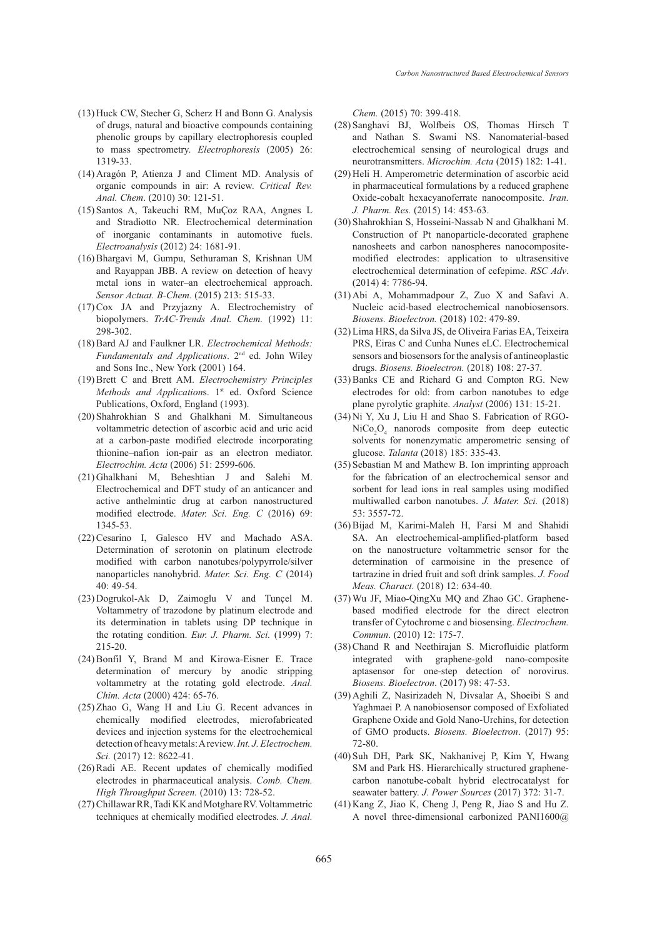- $(13)$  Huck CW, Stecher G, Scherz H and Bonn G. Analysis of drugs, natural and bioactive compounds containing phenolic groups by capillary electrophoresis coupled to mass spectrometry. *Electrophoresis* (2005) 26: 1319-33.
- (14) Aragón P, Atienza J and Climent MD. Analysis of organic compounds in air: A review. *Critical Rev. Anal. Chem*. (2010) 30: 121-51.
- (15) Santos A, Takeuchi RM, MuÇoz RAA, Angnes L and Stradiotto NR. Electrochemical determination of inorganic contaminants in automotive fuels. *Electroanalysis* (2012) 24: 1681-91.
- (16) Bhargavi M, Gumpu, Sethuraman S, Krishnan UM and Rayappan JBB. A review on detection of heavy metal ions in water–an electrochemical approach. *Sensor Actuat. B-Chem.* (2015) 213: 515-33.
- $(17)$  Cox JA and Przyjazny A. Electrochemistry of biopolymers. *TrAC-Trends Anal. Chem.* (1992) 11: 298-302.
- (18) Bard AJ and Faulkner LR. *Electrochemical Methods*: *Fundamentals and Applications*. 2nd ed. John Wiley and Sons Inc., New York (2001) 164.
- Brett C and Brett AM. *Electrochemistry Principles*  (19) *Methods and Applications*. 1<sup>st</sup> ed. Oxford Science Publications, Oxford, England (1993).
- (20) Shahrokhian S and Ghalkhani M. Simultaneous voltammetric detection of ascorbic acid and uric acid at a carbon-paste modified electrode incorporating thionine–nafion ion-pair as an electron mediator. *Electrochim. Acta* (2006) 51: 2599-606.
- (21) Ghalkhani M, Beheshtian J and Salehi M. Electrochemical and DFT study of an anticancer and active anthelmintic drug at carbon nanostructured modified electrode. *Mater. Sci. Eng. C* (2016) 69: 1345-53.
- (22) Cesarino I, Galesco HV and Machado ASA. Determination of serotonin on platinum electrode modified with carbon nanotubes/polypyrrole/silver nanoparticles nanohybrid. *Mater. Sci. Eng. C* (2014) 40: 49-54.
- $(23)$  Dogrukol-Ak D, Zaimoglu V and Tunçel M. Voltammetry of trazodone by platinum electrode and its determination in tablets using DP technique in the rotating condition. *Eur. J. Pharm. Sci.* (1999) 7: 215-20.
- $(24)$  Bonfil Y, Brand M and Kirowa-Eisner E. Trace determination of mercury by anodic stripping voltammetry at the rotating gold electrode. *Anal. Chim. Acta* (2000) 424: 65-76.
- $(25)$  Zhao G, Wang H and Liu G. Recent advances in chemically modified electrodes, microfabricated devices and injection systems for the electrochemical detection of heavy metals: A review. *Int. J. Electrochem. Sci.* (2017) 12: 8622-41.
- $(26)$  Radi AE. Recent updates of chemically modified electrodes in pharmaceutical analysis. *Comb. Chem. High Throughput Screen.* (2010) 13: 728-52.
- (27) Chillawar RR, Tadi KK and Motghare RV. Voltammetric techniques at chemically modified electrodes. *J. Anal.*

*Chem.* (2015) 70: 399-418.

- (28) Sanghavi BJ, Wolfbeis OS, Thomas Hirsch T and Nathan S. Swami NS. Nanomaterial-based electrochemical sensing of neurological drugs and neurotransmitters. *Microchim. Acta* (2015) 182: 1-41.
- (29) Heli H. Amperometric determination of ascorbic acid in pharmaceutical formulations by a reduced graphene Oxide-cobalt hexacyanoferrate nanocomposite. *Iran. J. Pharm. Res.* (2015) 14: 453-63.
- (30) Shahrokhian S, Hosseini-Nassab N and Ghalkhani M. Construction of Pt nanoparticle-decorated graphene nanosheets and carbon nanospheres nanocompositemodified electrodes: application to ultrasensitive electrochemical determination of cefepime. *RSC Adv*. (2014) 4: 7786-94.
- $(31)$  Abi A, Mohammadpour Z, Zuo X and Safavi A. Nucleic acid-based electrochemical nanobiosensors. *Biosens. Bioelectron.* (2018) 102: 479-89.
- Lima HRS, da Silva JS, de Oliveira Farias EA, Teixeira (32) PRS, Eiras C and Cunha Nunes eLC. Electrochemical sensors and biosensors for the analysis of antineoplastic drugs. *Biosens. Bioelectron.* (2018) 108: 27-37.
- (33) Banks CE and Richard G and Compton RG. New electrodes for old: from carbon nanotubes to edge plane pyrolytic graphite. *Analyst* (2006) 131: 15-21.
- Ni Y, Xu J, Liu H and Shao S. Fabrication of RGO-(34)  $\text{NiCo}_2\text{O}_4$  nanorods composite from deep eutectic solvents for nonenzymatic amperometric sensing of glucose. *Talanta* (2018) 185: 335-43.
- (35) Sebastian M and Mathew B. Ion imprinting approach for the fabrication of an electrochemical sensor and sorbent for lead ions in real samples using modified multiwalled carbon nanotubes. *J. Mater. Sci.* (2018) 53: 3557-72.
- (36) Bijad M, Karimi-Maleh H, Farsi M and Shahidi SA. An electrochemical-amplified-platform based on the nanostructure voltammetric sensor for the determination of carmoisine in the presence of tartrazine in dried fruit and soft drink samples. *J. Food Meas. Charact.* (2018) 12: 634-40.
- Wu JF, Miao-QingXu MQ and Zhao GC. Graphene-(37) based modified electrode for the direct electron transfer of Cytochrome c and biosensing. *Electrochem. Commun*. (2010) 12: 175-7.
- (38) Chand R and Neethirajan S. Microfluidic platform integrated with graphene-gold nano-composite aptasensor for one-step detection of norovirus. *Biosens. Bioelectron*. (2017) 98: 47-53.
- (39) Aghili Z, Nasirizadeh N, Divsalar A, Shoeibi S and Yaghmaei P. A nanobiosensor composed of Exfoliated Graphene Oxide and Gold Nano-Urchins, for detection of GMO products. *Biosens. Bioelectron*. (2017) 95: 72-80.
- (40) Suh DH, Park SK, Nakhanivej P, Kim Y, Hwang SM and Park HS. Hierarchically structured graphenecarbon nanotube-cobalt hybrid electrocatalyst for seawater battery. *J. Power Sources* (2017) 372: 31-7.
- (41) Kang Z, Jiao K, Cheng J, Peng R, Jiao S and Hu Z. A novel three-dimensional carbonized PANI1600@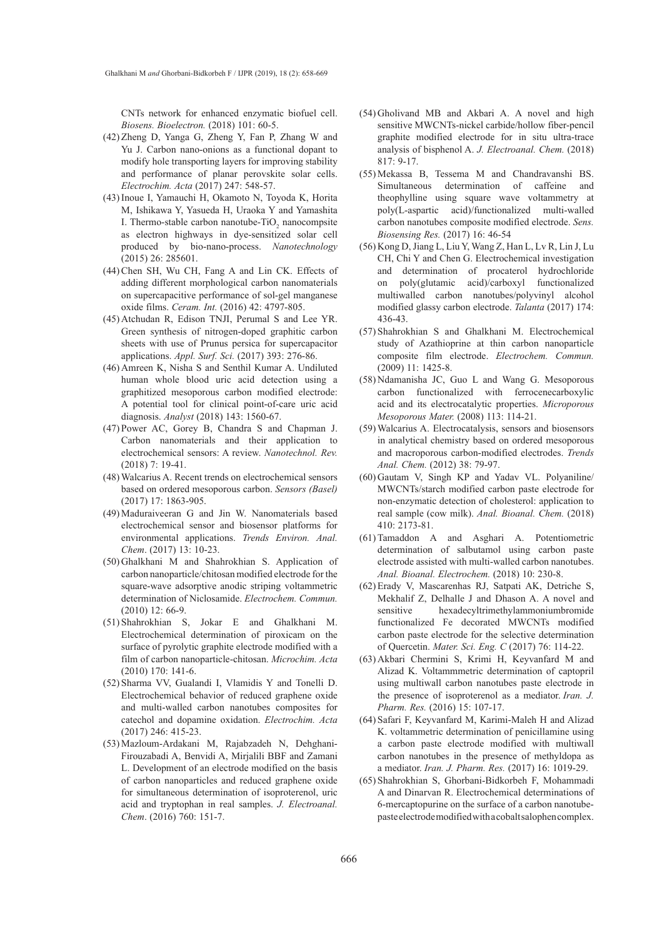CNTs network for enhanced enzymatic biofuel cell. *Biosens. Bioelectron.* (2018) 101: 60-5.

- (42) Zheng D, Yanga G, Zheng Y, Fan P, Zhang W and Yu J. Carbon nano-onions as a functional dopant to modify hole transporting layers for improving stability and performance of planar perovskite solar cells. *Electrochim. Acta* (2017) 247: 548-57.
- (43) Inoue I, Yamauchi H, Okamoto N, Toyoda K, Horita M, Ishikawa Y, Yasueda H, Uraoka Y and Yamashita I. Thermo-stable carbon nanotube- $TiO_2$  nanocompsite as electron highways in dye-sensitized solar cell produced by bio-nano-process. *Nanotechnology* (2015) 26: 285601.
- (44) Chen SH, Wu CH, Fang A and Lin CK. Effects of adding different morphological carbon nanomaterials on supercapacitive performance of sol-gel manganese oxide films. *Ceram. Int.* (2016) 42: 4797-805.
- (45) Atchudan R, Edison TNJI, Perumal S and Lee YR. Green synthesis of nitrogen-doped graphitic carbon sheets with use of Prunus persica for supercapacitor applications. *Appl. Surf. Sci.* (2017) 393: 276-86.
- (46) Amreen K, Nisha S and Senthil Kumar A. Undiluted human whole blood uric acid detection using a graphitized mesoporous carbon modified electrode: A potential tool for clinical point-of-care uric acid diagnosis. *Analyst* (2018) 143: 1560-67.
- (47) Power AC, Gorey B, Chandra S and Chapman J. Carbon nanomaterials and their application to electrochemical sensors: A review. *Nanotechnol. Rev.*  (2018) 7: 19-41.
- Walcarius A. Recent trends on electrochemical sensors (48) based on ordered mesoporous carbon. *Sensors (Basel)* (2017) 17: 1863-905.
- (49) Maduraiveeran G and Jin W. Nanomaterials based electrochemical sensor and biosensor platforms for environmental applications. *Trends Environ. Anal. Chem*. (2017) 13: 10-23.
- (50) Ghalkhani M and Shahrokhian S. Application of carbon nanoparticle/chitosan modified electrode for the square-wave adsorptive anodic striping voltammetric determination of Niclosamide. *Electrochem. Commun.* (2010) 12: 66-9.
- (51) Shahrokhian S, Jokar E and Ghalkhani M. Electrochemical determination of piroxicam on the surface of pyrolytic graphite electrode modified with a film of carbon nanoparticle-chitosan. *Microchim. Acta* (2010) 170: 141-6.
- (52) Sharma VV, Gualandi I, Vlamidis Y and Tonelli D. Electrochemical behavior of reduced graphene oxide and multi-walled carbon nanotubes composites for catechol and dopamine oxidation. *Electrochim. Acta* (2017) 246: 415-23.
- (53) Mazloum-Ardakani M, Rajabzadeh N, Dehghani-Firouzabadi A, Benvidi A, Mirjalili BBF and Zamani L. Development of an electrode modified on the basis of carbon nanoparticles and reduced graphene oxide for simultaneous determination of isoproterenol, uric acid and tryptophan in real samples. *J. Electroanal. Chem*. (2016) 760: 151-7.
- Gholivand MB and Akbari A. A novel and high (54) sensitive MWCNTs-nickel carbide/hollow fiber-pencil graphite modified electrode for in situ ultra-trace analysis of bisphenol A. *J. Electroanal. Chem.* (2018) 817: 9-17.
- (55) Mekassa B, Tessema M and Chandravanshi BS. Simultaneous determination of caffeine and theophylline using square wave voltammetry at poly(L-aspartic acid)/functionalized multi-walled carbon nanotubes composite modified electrode. *Sens. Biosensing Res.* (2017) 16: 46-54
- (56) Kong D, Jiang L, Liu Y, Wang Z, Han L, Lv R, Lin J, Lu CH, Chi Y and Chen G. Electrochemical investigation and determination of procaterol hydrochloride on poly(glutamic acid)/carboxyl functionalized multiwalled carbon nanotubes/polyvinyl alcohol modified glassy carbon electrode. *Talanta* (2017) 174: 436-43.
- (57) Shahrokhian S and Ghalkhani M. Electrochemical study of Azathioprine at thin carbon nanoparticle composite film electrode. *Electrochem. Commun.* (2009) 11: 1425-8.
- (58) Ndamanisha JC, Guo L and Wang G. Mesoporous carbon functionalized with ferrocenecarboxylic acid and its electrocatalytic properties. *Microporous Mesoporous Mater.* (2008) 113: 114-21.
- Walcarius A. Electrocatalysis, sensors and biosensors (59) in analytical chemistry based on ordered mesoporous and macroporous carbon-modified electrodes. *Trends Anal. Chem.* (2012) 38: 79-97.
- (60) Gautam V, Singh KP and Yadav VL. Polyaniline/ MWCNTs/starch modified carbon paste electrode for non-enzymatic detection of cholesterol: application to real sample (cow milk). *Anal. Bioanal. Chem.* (2018) 410: 2173-81.
- (61) Tamaddon A and Asghari A. Potentiometric determination of salbutamol using carbon paste electrode assisted with multi-walled carbon nanotubes. *Anal. Bioanal. Electrochem.* (2018) 10: 230-8.
- (62) Erady V, Mascarenhas RJ, Satpati AK, Detriche S, Mekhalif Z, Delhalle J and Dhason A. A novel and sensitive hexadecyltrimethylammoniumbromide functionalized Fe decorated MWCNTs modified carbon paste electrode for the selective determination of Quercetin. *Mater. Sci. Eng. C* (2017) 76: 114-22.
- (63) Akbari Chermini S, Krimi H, Keyvanfard M and Alizad K. Voltammmetric determination of captopril using multiwall carbon nanotubes paste electrode in the presence of isoproterenol as a mediator. *Iran. J. Pharm. Res.* (2016) 15: 107-17.
- (64) Safari F, Keyvanfard M, Karimi-Maleh H and Alizad K. voltammetric determination of penicillamine using a carbon paste electrode modified with multiwall carbon nanotubes in the presence of methyldopa as a mediator. *Iran. J. Pharm. Res.* (2017) 16: 1019-29.
- (65) Shahrokhian S, Ghorbani-Bidkorbeh F, Mohammadi A and Dinarvan R. Electrochemical determinations of 6-mercaptopurine on the surface of a carbon nanotubepaste electrode modified with a cobalt salophen complex.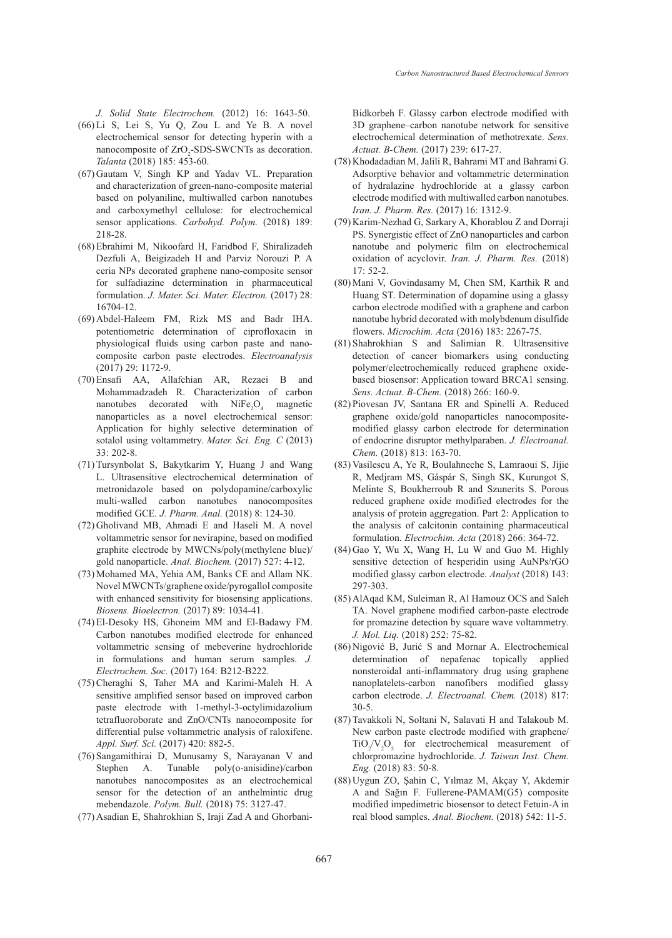*J. Solid State Electrochem.* (2012) 16: 1643-50.

- $(66)$  Li S, Lei S, Yu Q, Zou L and Ye B. A novel electrochemical sensor for detecting hyperin with a nanocomposite of  $ZrO<sub>2</sub>$ -SDS-SWCNTs as decoration. *Talanta* (2018) 185: 453-60.
- (67) Gautam V, Singh KP and Yadav VL. Preparation and characterization of green-nano-composite material based on polyaniline, multiwalled carbon nanotubes and carboxymethyl cellulose: for electrochemical sensor applications. *Carbohyd. Polym.* (2018) 189: 218-28.
- Ebrahimi M, Nikoofard H, Faridbod F, Shiralizadeh (68) Dezfuli A, Beigizadeh H and Parviz Norouzi P. A ceria NPs decorated graphene nano-composite sensor for sulfadiazine determination in pharmaceutical formulation. *J. Mater. Sci. Mater. Electron.* (2017) 28: 16704-12.
- (69) Abdel-Haleem FM, Rizk MS and Badr IHA. potentiometric determination of ciprofloxacin in physiological fluids using carbon paste and nanocomposite carbon paste electrodes. *Electroanalysis* (2017) 29: 1172-9.
- (70) Ensafi AA, Allafchian AR, Rezaei B and Mohammadzadeh R. Characterization of carbon nanotubes decorated with  $NiFe<sub>2</sub>O<sub>4</sub>$  magnetic nanoparticles as a novel electrochemical sensor: Application for highly selective determination of sotalol using voltammetry. *Mater. Sci. Eng. C* (2013) 33: 202-8.
- (71) Tursynbolat S, Bakytkarim Y, Huang J and Wang L. Ultrasensitive electrochemical determination of metronidazole based on polydopamine/carboxylic multi-walled carbon nanotubes nanocomposites modified GCE. *J. Pharm. Anal.* (2018) 8: 124-30.
- (72) Gholivand MB, Ahmadi E and Haseli M. A novel voltammetric sensor for nevirapine, based on modified graphite electrode by MWCNs/poly(methylene blue)/ gold nanoparticle. *Anal. Biochem.* (2017) 527: 4-12.
- (73) Mohamed MA, Yehia AM, Banks CE and Allam NK. Novel MWCNTs/graphene oxide/pyrogallol composite with enhanced sensitivity for biosensing applications. *Biosens. Bioelectron.* (2017) 89: 1034-41.
- El-Desoky HS, Ghoneim MM and El-Badawy FM. (74) Carbon nanotubes modified electrode for enhanced voltammetric sensing of mebeverine hydrochloride in formulations and human serum samples. *J. Electrochem. Soc.* (2017) 164: B212-B222.
- (75) Cheraghi S, Taher MA and Karimi-Maleh H. A sensitive amplified sensor based on improved carbon paste electrode with 1-methyl-3-octylimidazolium tetrafluoroborate and ZnO/CNTs nanocomposite for differential pulse voltammetric analysis of raloxifene. *Appl. Surf. Sci.* (2017) 420: 882-5.
- (76) Sangamithirai D, Munusamy S, Narayanan V and Stephen A. Tunable poly(o-anisidine)/carbon nanotubes nanocomposites as an electrochemical sensor for the detection of an anthelmintic drug mebendazole. *Polym. Bull.* (2018) 75: 3127-47.
- (77) Asadian E, Shahrokhian S, Iraji Zad A and Ghorbani-

Bidkorbeh F. Glassy carbon electrode modified with 3D graphene–carbon nanotube network for sensitive electrochemical determination of methotrexate. *Sens. Actuat. B-Chem.* (2017) 239: 617-27.

- (78) Khodadadian M, Jalili R, Bahrami MT and Bahrami G. Adsorptive behavior and voltammetric determination of hydralazine hydrochloride at a glassy carbon electrode modified with multiwalled carbon nanotubes. *Iran. J. Pharm. Res.* (2017) 16: 1312-9.
- (79) Karim-Nezhad G, Sarkary A, Khorablou Z and Dorraji PS. Synergistic effect of ZnO nanoparticles and carbon nanotube and polymeric film on electrochemical oxidation of acyclovir. *Iran. J. Pharm. Res.* (2018) 17: 52-2.
- (80) Mani V, Govindasamy M, Chen SM, Karthik R and Huang ST. Determination of dopamine using a glassy carbon electrode modified with a graphene and carbon nanotube hybrid decorated with molybdenum disulfide flowers. *Microchim. Acta* (2016) 183: 2267-75.
- (81) Shahrokhian S and Salimian R. Ultrasensitive detection of cancer biomarkers using conducting polymer/electrochemically reduced graphene oxidebased biosensor: Application toward BRCA1 sensing. *Sens. Actuat. B-Chem.* (2018) 266: 160-9.
- (82) Piovesan JV, Santana ER and Spinelli A. Reduced graphene oxide/gold nanoparticles nanocompositemodified glassy carbon electrode for determination of endocrine disruptor methylparaben. *J. Electroanal. Chem.* (2018) 813: 163-70.
- (83) Vasilescu A, Ye R, Boulahneche S, Lamraoui S, Jijie R, Medjram MS, Gáspár S, Singh SK, Kurungot S, Melinte S, Boukherroub R and Szunerits S. Porous reduced graphene oxide modified electrodes for the analysis of protein aggregation. Part 2: Application to the analysis of calcitonin containing pharmaceutical formulation. *Electrochim. Acta* (2018) 266: 364-72.
- (84) Gao Y, Wu X, Wang H, Lu W and Guo M. Highly sensitive detection of hesperidin using AuNPs/rGO modified glassy carbon electrode. *Analyst* (2018) 143: 297-303.
- (85) AlAqad KM, Suleiman R, Al Hamouz OCS and Saleh TA. Novel graphene modified carbon-paste electrode for promazine detection by square wave voltammetry*. J. Mol. Liq.* (2018) 252: 75-82.
- (86) Nigović B, Jurić S and Mornar A. Electrochemical determination of nepafenac topically applied nonsteroidal anti-inflammatory drug using graphene nanoplatelets-carbon nanofibers modified glassy carbon electrode. *J. Electroanal. Chem.* (2018) 817: 30-5.
- Tavakkoli N, Soltani N, Salavati H and Talakoub M. (87) New carbon paste electrode modified with graphene/  $TiO_2/V_2O_5$  for electrochemical measurement of chlorpromazine hydrochloride. *J. Taiwan Inst. Chem. Eng.* (2018) 83: 50-8.
- (88) Uygun ZO, Şahin C, Yılmaz M, Akçay Y, Akdemir A and Sağın F. Fullerene-PAMAM(G5) composite modified impedimetric biosensor to detect Fetuin-A in real blood samples. *Anal. Biochem.* (2018) 542: 11-5.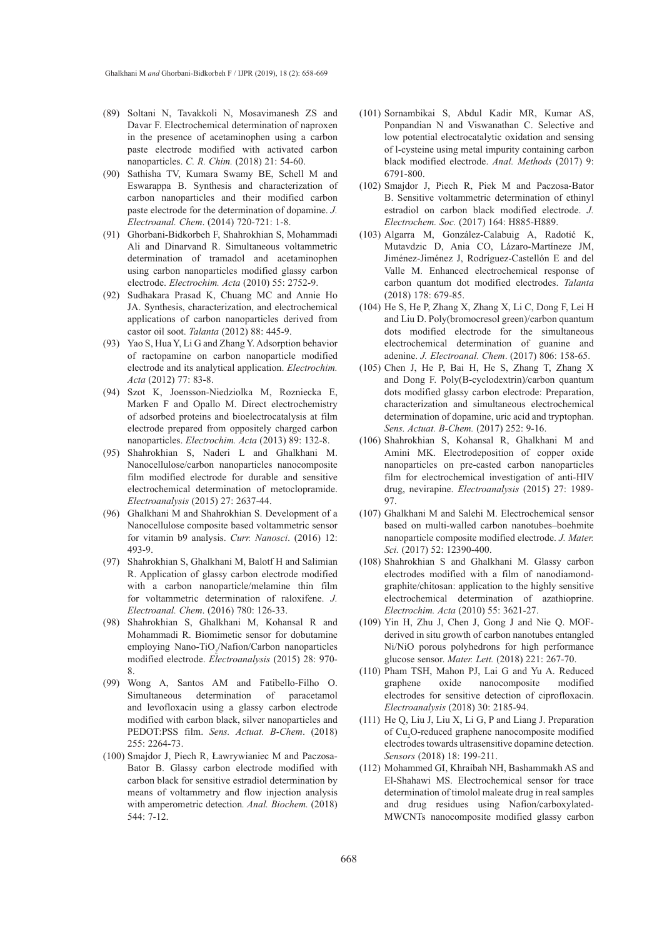- (89) Soltani N, Tavakkoli N, Mosavimanesh ZS and Davar F. Electrochemical determination of naproxen in the presence of acetaminophen using a carbon paste electrode modified with activated carbon nanoparticles. *C. R. Chim.* (2018) 21: 54-60.
- (90) Sathisha TV, Kumara Swamy BE, Schell M and Eswarappa B. Synthesis and characterization of carbon nanoparticles and their modified carbon paste electrode for the determination of dopamine. *J. Electroanal. Chem*. (2014) 720-721: 1-8.
- Ghorbani-Bidkorbeh F, Shahrokhian S, Mohammadi (91) Ali and Dinarvand R. Simultaneous voltammetric determination of tramadol and acetaminophen using carbon nanoparticles modified glassy carbon electrode. *Electrochim. Acta* (2010) 55: 2752-9.
- (92) Sudhakara Prasad K, Chuang MC and Annie Ho JA. Synthesis, characterization, and electrochemical applications of carbon nanoparticles derived from castor oil soot. *Talanta* (2012) 88: 445-9.
- (93) Yao S, Hua Y, Li G and Zhang Y. Adsorption behavior of ractopamine on carbon nanoparticle modified electrode and its analytical application. *Electrochim. Acta* (2012) 77: 83-8.
- (94) Szot K, Joensson-Niedziolka M, Rozniecka E, Marken F and Opallo M. Direct electrochemistry of adsorbed proteins and bioelectrocatalysis at film electrode prepared from oppositely charged carbon nanoparticles. *Electrochim. Acta* (2013) 89: 132-8.
- (95) Shahrokhian S, Naderi L and Ghalkhani M. Nanocellulose/carbon nanoparticles nanocomposite film modified electrode for durable and sensitive electrochemical determination of metoclopramide. *Electroanalysis* (2015) 27: 2637-44.
- (96) Ghalkhani M and Shahrokhian S. Development of a Nanocellulose composite based voltammetric sensor for vitamin b9 analysis. *Curr. Nanosci*. (2016) 12: 493-9.
- (97) Shahrokhian S, Ghalkhani M, Balotf H and Salimian R. Application of glassy carbon electrode modified with a carbon nanoparticle/melamine thin film for voltammetric determination of raloxifene. *J. Electroanal. Chem*. (2016) 780: 126-33.
- (98) Shahrokhian S, Ghalkhani M, Kohansal R and Mohammadi R. Biomimetic sensor for dobutamine employing Nano-TiO<sub>2</sub>/Nafion/Carbon nanoparticles modified electrode. *Electroanalysis* (2015) 28: 970- 8.
- Wong A, Santos AM and Fatibello-Filho O. (99) Simultaneous determination of paracetamol and levofloxacin using a glassy carbon electrode modified with carbon black, silver nanoparticles and PEDOT:PSS film. *Sens. Actuat. B-Chem*. (2018) 255: 2264-73.
- (100) Smajdor J, Piech R, Ławrywianiec M and Paczosa-Bator B. Glassy carbon electrode modified with carbon black for sensitive estradiol determination by means of voltammetry and flow injection analysis with amperometric detection*. Anal. Biochem.* (2018) 544: 7-12.
- (101) Sornambikai S, Abdul Kadir MR, Kumar AS, Ponpandian N and Viswanathan C. Selective and low potential electrocatalytic oxidation and sensing of l-cysteine using metal impurity containing carbon black modified electrode. *Anal. Methods* (2017) 9: 6791-800.
- (102) Smajdor J, Piech R, Piek M and Paczosa-Bator B. Sensitive voltammetric determination of ethinyl estradiol on carbon black modified electrode. *J. Electrochem. Soc.* (2017) 164: H885-H889.
- (103) Algarra M, González-Calabuig A, Radotić K, Mutavdzic D, Ania CO, Lázaro-Martíneze JM, Jiménez-Jiménez J, Rodríguez-Castellón E and del Valle M. Enhanced electrochemical response of carbon quantum dot modified electrodes. *Talanta* (2018) 178: 679-85.
- $(104)$  He S, He P, Zhang X, Zhang X, Li C, Dong F, Lei H and Liu D. Poly(bromocresol green)/carbon quantum dots modified electrode for the simultaneous electrochemical determination of guanine and adenine. *J. Electroanal. Chem*. (2017) 806: 158-65.
- $(105)$  Chen J, He P, Bai H, He S, Zhang T, Zhang X and Dong F. Poly(Β-cyclodextrin)/carbon quantum dots modified glassy carbon electrode: Preparation, characterization and simultaneous electrochemical determination of dopamine, uric acid and tryptophan. *Sens. Actuat. B-Chem.* (2017) 252: 9-16.
- (106) Shahrokhian S, Kohansal R, Ghalkhani M and Amini MK. Electrodeposition of copper oxide nanoparticles on pre-casted carbon nanoparticles film for electrochemical investigation of anti-HIV drug, nevirapine. *Electroanalysis* (2015) 27: 1989- 97.
- (107) Ghalkhani M and Salehi M. Electrochemical sensor based on multi-walled carbon nanotubes–boehmite nanoparticle composite modified electrode. *J. Mater. Sci.* (2017) 52: 12390-400.
- (108) Shahrokhian S and Ghalkhani M. Glassy carbon electrodes modified with a film of nanodiamondgraphite/chitosan: application to the highly sensitive electrochemical determination of azathioprine. *Electrochim. Acta* (2010) 55: 3621-27.
- $(109)$  Yin H, Zhu J, Chen J, Gong J and Nie Q. MOFderived in situ growth of carbon nanotubes entangled Ni/NiO porous polyhedrons for high performance glucose sensor. *Mater. Lett.* (2018) 221: 267-70.
- (110) Pham TSH, Mahon PJ, Lai G and Yu A. Reduced graphene oxide nanocomposite modified electrodes for sensitive detection of ciprofloxacin. *Electroanalysis* (2018) 30: 2185-94.
- $(111)$  He Q, Liu J, Liu X, Li G, P and Liang J. Preparation of Cu<sub>2</sub>O-reduced graphene nanocomposite modified electrodes towards ultrasensitive dopamine detection. *Sensors* (2018) 18: 199-211.
- (112) Mohammed GI, Khraibah NH, Bashammakh AS and El-Shahawi MS. Electrochemical sensor for trace determination of timolol maleate drug in real samples and drug residues using Nafion/carboxylated-MWCNTs nanocomposite modified glassy carbon